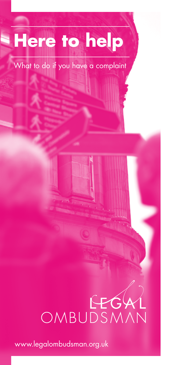## **Here to help**

What to do if you have a complaint

# OMBUDSMA

www.legalombudsman.org.uk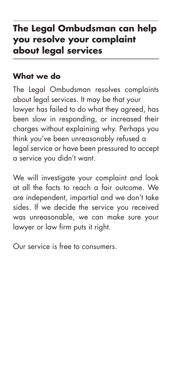## **The Legal Ombudsman can help you resolve your complaint about legal services**

## **What we do**

The Legal Ombudsman resolves complaints about legal services. It may be that your lawyer has failed to do what they agreed, has been slow in responding, or increased their charges without explaining why. Perhaps you think you've been unreasonably refused a legal service or have been pressured to accept a service you didn't want.

We will investigate your complaint and look at all the facts to reach a fair outcome. We are independent, impartial and we don't take sides. If we decide the service you received was unreasonable, we can make sure your lawyer or law firm puts it right.

Our service is free to consumers.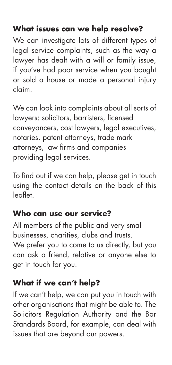## **What issues can we help resolve?**

We can investigate lots of different types of legal service complaints, such as the way a lawyer has dealt with a will or family issue, if you've had poor service when you bought or sold a house or made a personal injury claim.

We can look into complaints about all sorts of lawyers: solicitors, barristers, licensed conveyancers, cost lawyers, legal executives, notaries, patent attorneys, trade mark attorneys, law firms and companies providing legal services.

To find out if we can help, please get in touch using the contact details on the back of this leaflet.

## **Who can use our service?**

All members of the public and very small businesses, charities, clubs and trusts. We prefer you to come to us directly, but you can ask a friend, relative or anyone else to get in touch for you.

## **What if we can't help?**

If we can't help, we can put you in touch with other organisations that might be able to. The Solicitors Regulation Authority and the Bar Standards Board, for example, can deal with issues that are beyond our powers.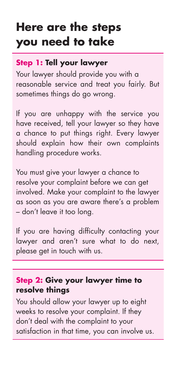## **Here are the steps you need to take**

## **Step 1: Tell your lawyer**

Your lawyer should provide you with a reasonable service and treat you fairly. But sometimes things do go wrong.

If you are unhappy with the service you have received, tell your lawyer so they have a chance to put things right. Every lawyer should explain how their own complaints handling procedure works.

You must give your lawyer a chance to resolve your complaint before we can get involved. Make your complaint to the lawyer as soon as you are aware there's a problem – don't leave it too long.

If you are having difficulty contacting your lawyer and aren't sure what to do next, please get in touch with us.

## **Step 2: Give your lawyer time to resolve things**

You should allow your lawyer up to eight weeks to resolve your complaint. If they don't deal with the complaint to your satisfaction in that time, you can involve us.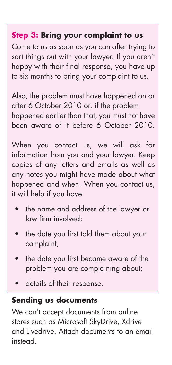## **Step 3: Bring your complaint to us**

Come to us as soon as you can after trying to sort things out with your lawyer. If you aren't happy with their final response, you have up to six months to bring your complaint to us.

Also, the problem must have happened on or after 6 October 2010 or, if the problem happened earlier than that, you must not have been aware of it before 6 October 2010.

When you contact us, we will ask for information from you and your lawyer. Keep copies of any letters and emails as well as any notes you might have made about what happened and when. When you contact us, it will help if you have:

- the name and address of the lawyer or law firm involved;
- the date you first told them about your complaint;
- the date you first became aware of the problem you are complaining about;
- details of their response.

## **Sending us documents**

We can't accept documents from online stores such as Microsoft SkyDrive, Xdrive and Livedrive. Attach documents to an email instead.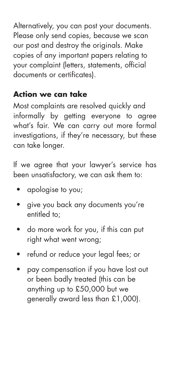Alternatively, you can post your documents. Please only send copies, because we scan our post and destroy the originals. Make copies of any important papers relating to your complaint (letters, statements, official documents or certificates).

## **Action we can take**

Most complaints are resolved quickly and informally by getting everyone to agree what's fair. We can carry out more formal investigations, if they're necessary, but these can take longer.

If we agree that your lawyer's service has been unsatisfactory, we can ask them to:

- apologise to you;
- give you back any documents you're entitled to;
- do more work for you, if this can put right what went wrong;
- refund or reduce your legal fees; or
- pay compensation if you have lost out or been badly treated (this can be anything up to £50,000 but we generally award less than £1,000).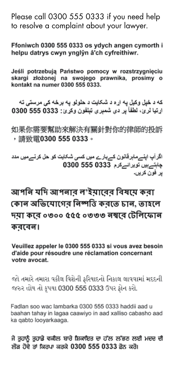Please call 0300 555 0333 if you need help to resolve a complaint about your lawyer.

Ffoniwch 0300 555 0333 os ydych angen cymorth i helpu datrys cwyn ynglŷn â'ch cyfreithiwr.

Jeśli potrzebuja Państwo pomocy w rozstrzygnieciu skargi złożonej na swojego prawnika, prosimy o kontakt na numer 0300 555 0333.

که د خپل وکپل په اړه د شکایت د حلولو په برخه کی مرستی ته ارتيا لرئ، لطفأ بر دي شمېري تبلغون وكړئ: 0333 555 0300

如果你需要幫助來解決有關針對你的律師的投訴 ,請致雷0300 555 0333。

اگر آپ اینےماہر قانون کےبارے میں کسی شکایت کو حل کرنےمیں مدد جابتہ بیں توبر انہ کرم 0300 555 0300 ير فون کريں۔

আপনি যদি আপনাব ল'ইয়াবেব বিষয়ে কবা কোন অভিযোগের নিষ্পত্তি করতে চান. তাহলে দয়া কবে ০৩০০ ৫৫৫ ০৩৩৩ নম্ববে টেলিফোন কববেল।

Veuillez appeler le 0300 555 0333 si vous avez besoin d'aide pour résoudre une réclamation concernant votre avocat.

જો તમારે તમારા વકીલ વિશેની કરિયાદનો નિકાલ લાવવામાં મદદની જરુર હોય તો કૃપયા 0300 555 0333 ઉપર ફોન કરો.

Fadlan soo wac lambarka 0300 555 0333 haddii aad u baahan tahay in lagaa caawiyo in aad xalliso cabasho aad ka qabto looyarkaaga.

ਜੇ ਤੁਹਾਨੂੰ ਤੁਹਾਡੇ ਵਕੀਲ ਬਾਰੇ ਸ਼ਿਕਾਇਤ ਦਾ ਹੱਲ ਲੱਭਣ ਲਈ ਮਦਦ ਦੀ ਲੋੜ ਹੋਵੇ ਤਾਂ ਕਿਰਪਾ ਕਰਕੇ 0300 555 0333 ਫ਼ੋਨ ਕਰੋ।